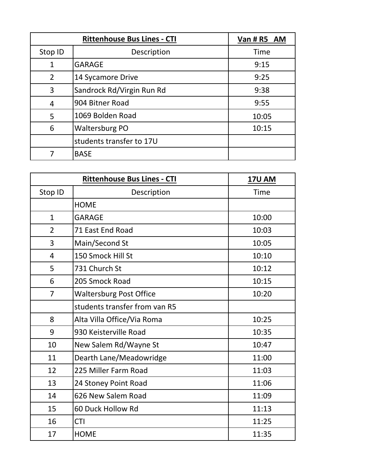| <b>Rittenhouse Bus Lines - CTI</b> |                           | Van # R5 AM |
|------------------------------------|---------------------------|-------------|
| Stop ID                            | Description               | <b>Time</b> |
| $\mathbf{1}$                       | <b>GARAGE</b>             | 9:15        |
| $\overline{2}$                     | 14 Sycamore Drive         | 9:25        |
| 3                                  | Sandrock Rd/Virgin Run Rd | 9:38        |
| 4                                  | 904 Bitner Road           | 9:55        |
| 5                                  | 1069 Bolden Road          | 10:05       |
| 6                                  | <b>Waltersburg PO</b>     | 10:15       |
|                                    | students transfer to 17U  |             |
|                                    | <b>BASE</b>               |             |

|                | <b>Rittenhouse Bus Lines - CTI</b> | <b>17U AM</b> |
|----------------|------------------------------------|---------------|
| Stop ID        | Description                        | Time          |
|                | <b>HOME</b>                        |               |
| $\mathbf{1}$   | <b>GARAGE</b>                      | 10:00         |
| $\overline{2}$ | 71 East End Road                   | 10:03         |
| 3              | Main/Second St                     | 10:05         |
| 4              | 150 Smock Hill St                  | 10:10         |
| 5              | 731 Church St                      | 10:12         |
| 6              | 205 Smock Road                     | 10:15         |
| $\overline{7}$ | <b>Waltersburg Post Office</b>     | 10:20         |
|                | students transfer from van R5      |               |
| 8              | Alta Villa Office/Via Roma         | 10:25         |
| 9              | 930 Keisterville Road              | 10:35         |
| 10             | New Salem Rd/Wayne St              | 10:47         |
| 11             | Dearth Lane/Meadowridge            | 11:00         |
| 12             | 225 Miller Farm Road               | 11:03         |
| 13             | 24 Stoney Point Road               | 11:06         |
| 14             | 626 New Salem Road                 | 11:09         |
| 15             | 60 Duck Hollow Rd                  | 11:13         |
| 16             | <b>CTI</b>                         | 11:25         |
| 17             | <b>HOME</b>                        | 11:35         |